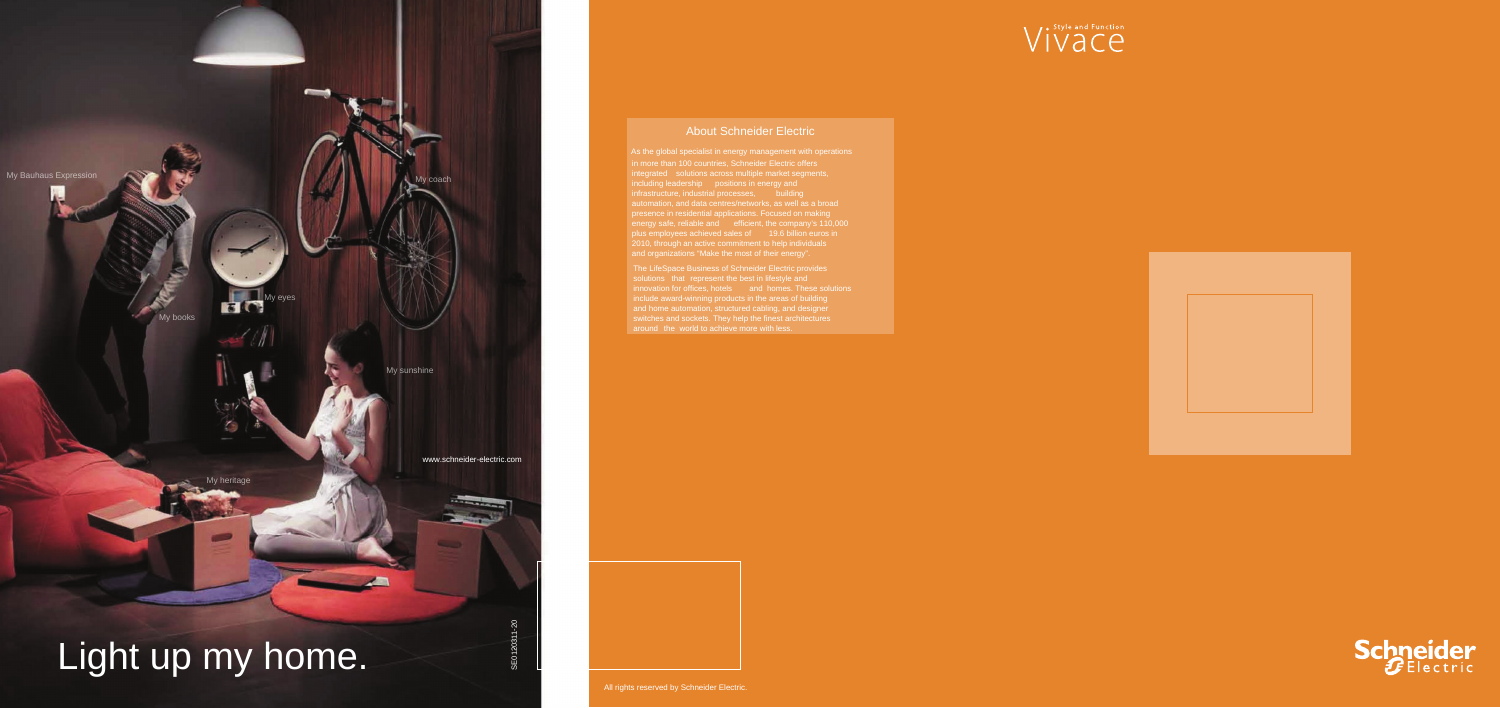## About Schneider Electric

The LifeSpace Business of Schneider Electric provides include award-winning products in the areas of building and home automation, structured cabling, and designer

All rights reserved by Schneider Electric.



- As the global specialist in energy management with operations
	-
	-
	-





in more than 100 countries, Schneider Electric offers integrated solutions across multiple market segments, including leadership positions in energy and infrastructure, industrial processes, souilding<br>automation, and data centres/networks, as well as a broad presence in residential applications. Focused on making energy safe, reliable and efficient, the company's 110,000 plus employees achieved sales of 19.6 billion euros in 2010, through an active commitment to help individuals and organizations "Make the most of their energy".